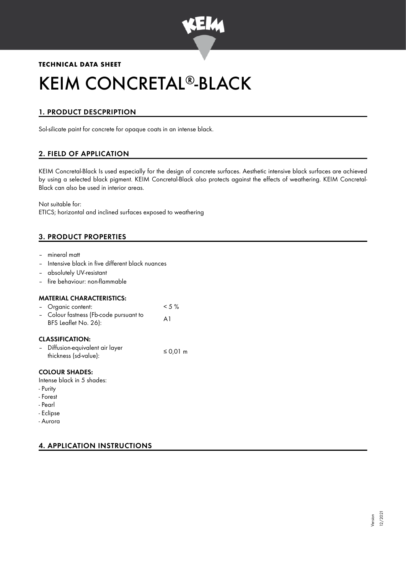

# **TECHNICAL DATA SHEET**

# KEIM CONCRETAL®-BLACK

# 1. PRODUCT DESCPRIPTION

Sol-silicate paint for concrete for opaque coats in an intense black.

# 2. FIELD OF APPLICATION

KEIM Concretal-Black Is used especially for the design of concrete surfaces. Aesthetic intensive black surfaces are achieved by using a selected black pigment. KEIM Concretal-Black also protects against the effects of weathering. KEIM Concretal-Black can also be used in interior areas.

Not suitable for:

ETICS; horizontal and inclined surfaces exposed to weathering

# 3. PRODUCT PROPERTIES

- mineral matt
- Intensive black in five different black nuances
- absolutely UV-resistant
- fire behaviour: non-flammable

#### MATERIAL CHARACTERISTICS:

| - Organic content:                                             | $<$ 5 % |
|----------------------------------------------------------------|---------|
| - Colour fastness (Fb-code pursuant to<br>BFS Leaflet No. 26): | A1      |
|                                                                |         |

# CLASSIFICATION:

| - Diffusion-equivalent air layer | $\leq$ 0.01 m |
|----------------------------------|---------------|
| thickness (sd-value):            |               |

## COLOUR SHADES:

- Intense black in 5 shades:
- Purity
- Forest
- Pearl
- Eclipse
- Aurora

# 4. APPLICATION INSTRUCTIONS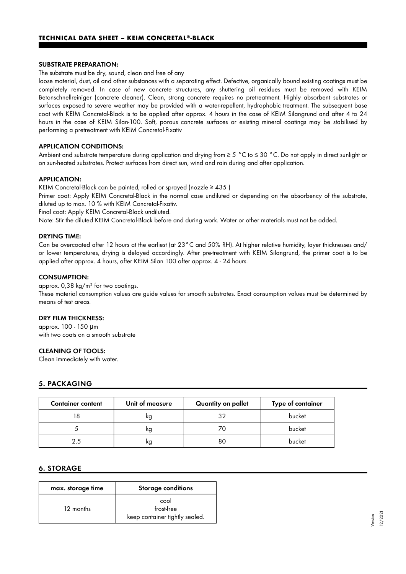#### SUBSTRATE PREPARATION:

#### The substrate must be dry, sound, clean and free of any

loose material, dust, oil and other substances with a separating effect. Defective, organically bound existing coatings must be completely removed. In case of new concrete structures, any shuttering oil residues must be removed with KEIM Betonschnellreiniger (concrete cleaner). Clean, strong concrete requires no pretreatment. Highly absorbent substrates or surfaces exposed to severe weather may be provided with a water-repellent, hydrophobic treatment. The subsequent base coat with KEIM Concretal-Black is to be applied after approx. 4 hours in the case of KEIM Silangrund and after 4 to 24 hours in the case of KEIM Silan-100. Soft, porous concrete surfaces or existing mineral coatings may be stabilised by performing a pretreatment with KEIM Concretal-Fixativ

#### APPLICATION CONDITIONS:

Ambient and substrate temperature during application and drying from ≥ 5 °C to ≤ 30 °C. Do not apply in direct sunlight or on sun-heated substrates. Protect surfaces from direct sun, wind and rain during and after application.

#### APPLICATION:

KEIM Concretal-Black can be painted, rolled or sprayed (nozzle  $\geq 435$ )

Primer coat: Apply KEIM Concretal-Black in the normal case undiluted or depending on the absorbency of the substrate, diluted up to max. 10 % with KEIM Concretal-Fixativ.

Final coat: Apply KEIM Concretal-Black undiluted.

Note: Stir the diluted KEIM Concretal-Black before and during work. Water or other materials must not be added.

#### DRYING TIME:

Can be overcoated after 12 hours at the earliest (at 23°C and 50% RH). At higher relative humidity, layer thicknesses and/ or lower temperatures, drying is delayed accordingly. After pre-treatment with KEIM Silangrund, the primer coat is to be applied after approx. 4 hours, after KEIM Silan 100 after approx. 4 - 24 hours.

#### CONSUMPTION:

#### approx. 0,38 kg/m² for two coatings.

These material consumption values are guide values for smooth substrates. Exact consumption values must be determined by means of test areas.

#### DRY FILM THICKNESS:

approx. 100 - 150 μm with two coats on a smooth substrate

#### CLEANING OF TOOLS:

Clean immediately with water.

#### 5. PACKAGING

| <b>Container content</b> | Unit of measure | Quantity on pallet | Type of container |
|--------------------------|-----------------|--------------------|-------------------|
|                          | kg              | 32                 | bucket            |
|                          | ĸg              |                    | bucket            |
| 2.5                      | ĸg              | 80                 | bucket            |

#### 6. STORAGE

| max. storage time | <b>Storage conditions</b>                            |
|-------------------|------------------------------------------------------|
| 12 months         | cool<br>frost-free<br>keep container tightly sealed. |